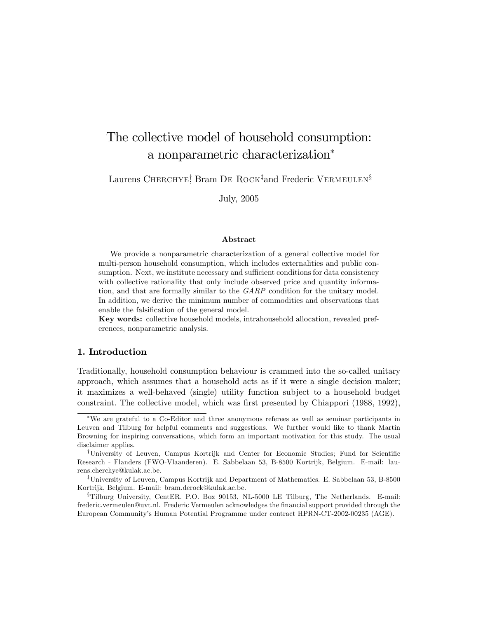# The collective model of household consumption: a nonparametric characterization

Laurens CHERCHYE! Bram DE ROCK‡and Frederic VERMEULEN§

July, 2005

#### Abstract

We provide a nonparametric characterization of a general collective model for multi-person household consumption, which includes externalities and public consumption. Next, we institute necessary and sufficient conditions for data consistency with collective rationality that only include observed price and quantity information, and that are formally similar to the GARP condition for the unitary model. In addition, we derive the minimum number of commodities and observations that enable the falsification of the general model.

Key words: collective household models, intrahousehold allocation, revealed preferences, nonparametric analysis.

## 1. Introduction

Traditionally, household consumption behaviour is crammed into the so-called unitary approach, which assumes that a household acts as if it were a single decision maker; it maximizes a well-behaved (single) utility function subject to a household budget constraint. The collective model, which was first presented by Chiappori (1988, 1992),

We are grateful to a Co-Editor and three anonymous referees as well as seminar participants in Leuven and Tilburg for helpful comments and suggestions. We further would like to thank Martin Browning for inspiring conversations, which form an important motivation for this study. The usual disclaimer applies.

<sup>&</sup>lt;sup>†</sup>University of Leuven, Campus Kortrijk and Center for Economic Studies; Fund for Scientific Research - Flanders (FWO-Vlaanderen). E. Sabbelaan 53, B-8500 Kortrijk, Belgium. E-mail: laurens.cherchye@kulak.ac.be.

<sup>&</sup>lt;sup>‡</sup>University of Leuven, Campus Kortrijk and Department of Mathematics. E. Sabbelaan 53, B-8500 Kortrijk, Belgium. E-mail: bram.derock@kulak.ac.be.

 ${}^{\$}$ Tilburg University, CentER. P.O. Box 90153, NL-5000 LE Tilburg, The Netherlands. E-mail: frederic.vermeulen@uvt.nl. Frederic Vermeulen acknowledges the Önancial support provided through the European Communityís Human Potential Programme under contract HPRN-CT-2002-00235 (AGE).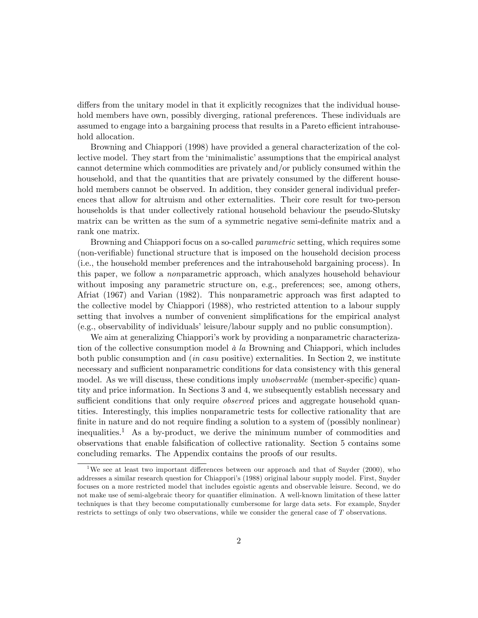differs from the unitary model in that it explicitly recognizes that the individual household members have own, possibly diverging, rational preferences. These individuals are assumed to engage into a bargaining process that results in a Pareto efficient intrahousehold allocation.

Browning and Chiappori (1998) have provided a general characterization of the collective model. They start from the 'minimalistic' assumptions that the empirical analyst cannot determine which commodities are privately and/or publicly consumed within the household, and that the quantities that are privately consumed by the different household members cannot be observed. In addition, they consider general individual preferences that allow for altruism and other externalities. Their core result for two-person households is that under collectively rational household behaviour the pseudo-Slutsky matrix can be written as the sum of a symmetric negative semi-definite matrix and a rank one matrix.

Browning and Chiappori focus on a so-called *parametric* setting, which requires some (non-verifiable) functional structure that is imposed on the household decision process (i.e., the household member preferences and the intrahousehold bargaining process). In this paper, we follow a nonparametric approach, which analyzes household behaviour without imposing any parametric structure on, e.g., preferences; see, among others, Afriat (1967) and Varian (1982). This nonparametric approach was first adapted to the collective model by Chiappori (1988), who restricted attention to a labour supply setting that involves a number of convenient simplifications for the empirical analyst (e.g., observability of individualsíleisure/labour supply and no public consumption).

We aim at generalizing Chiappori's work by providing a nonparametric characterization of the collective consumption model  $\dot{a}$  la Browning and Chiappori, which includes both public consumption and (in casu positive) externalities. In Section 2, we institute necessary and sufficient nonparametric conditions for data consistency with this general model. As we will discuss, these conditions imply *unobservable* (member-specific) quantity and price information. In Sections 3 and 4, we subsequently establish necessary and sufficient conditions that only require *observed* prices and aggregate household quantities. Interestingly, this implies nonparametric tests for collective rationality that are finite in nature and do not require finding a solution to a system of (possibly nonlinear) inequalities.<sup>1</sup> As a by-product, we derive the minimum number of commodities and observations that enable falsification of collective rationality. Section 5 contains some concluding remarks. The Appendix contains the proofs of our results.

<sup>&</sup>lt;sup>1</sup>We see at least two important differences between our approach and that of Snyder (2000), who addresses a similar research question for Chiapporiís (1988) original labour supply model. First, Snyder focuses on a more restricted model that includes egoistic agents and observable leisure. Second, we do not make use of semi-algebraic theory for quantifier elimination. A well-known limitation of these latter techniques is that they become computationally cumbersome for large data sets. For example, Snyder restricts to settings of only two observations, while we consider the general case of T observations.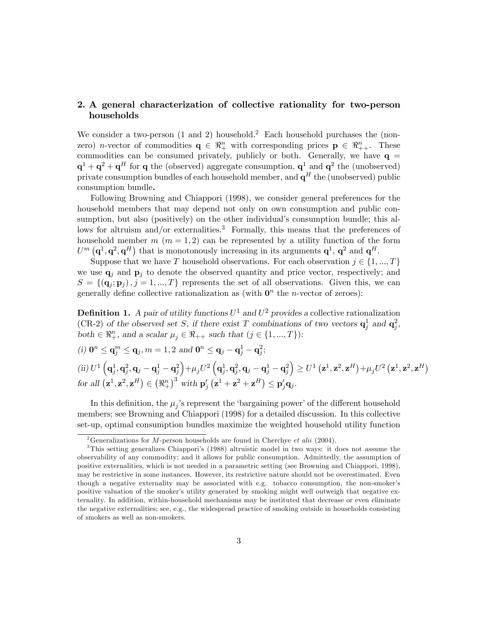## 2. A general characterization of collective rationality for two-person households

We consider a two-person  $(1 \text{ and } 2)$  household.<sup>2</sup> Each household purchases the (nonzero) *n*-vector of commodities  $q \in \mathbb{R}^n_+$  with corresponding prices  $p \in \mathbb{R}^n_{++}$ . These commodities can be consumed privately, publicly or both. Generally, we have  $q =$  $\mathbf{q}^1 + \mathbf{q}^2 + \mathbf{q}^H$  for  $\mathbf{q}$  the (observed) aggregate consumption,  $\mathbf{q}^1$  and  $\mathbf{q}^2$  the (unobserved) private consumption bundles of each household member, and  $\mathbf{q}^{H}$  the (unobserved) public consumption bundle.

Following Browning and Chiappori (1998), we consider general preferences for the household members that may depend not only on own consumption and public consumption, but also (positively) on the other individual's consumption bundle; this allows for altruism and/or externalities.<sup>3</sup> Formally, this means that the preferences of household member  $m (m = 1, 2)$  can be represented by a utility function of the form  $U^m(\mathbf{q}^1, \mathbf{q}^2, \mathbf{q}^H)$  that is monotonously increasing in its arguments  $\mathbf{q}^1, \mathbf{q}^2$  and  $\mathbf{q}^H$ .

Suppose that we have T household observations. For each observation  $j \in \{1, ..., T\}$ we use  $\mathbf{q}_i$  and  $\mathbf{p}_i$  to denote the observed quantity and price vector, respectively; and  $S = \{(\mathbf{q}_j; \mathbf{p}_j), j = 1, ..., T\}$  represents the set of all observations. Given this, we can generally define collective rationalization as (with  $\mathbf{0}^n$  the *n*-vector of zeroes):

**Definition 1.** A pair of utility functions  $U^1$  and  $U^2$  provides a collective rationalization (CR-2) of the observed set S, if there exist T combinations of two vectors  $\mathbf{q}_j^1$  and  $\mathbf{q}_j^2$ , both  $\in \mathbb{R}_+^n$ , and a scalar  $\mu_j \in \mathbb{R}_{++}$  such that  $(j \in \{1, ..., T\})$ :

(i) 
$$
\mathbf{0}^n \leq \mathbf{q}_j^m \leq \mathbf{q}_j, m = 1, 2
$$
 and  $\mathbf{0}^n \leq \mathbf{q}_j - \mathbf{q}_j^1 - \mathbf{q}_j^2$ ;  
\n(ii)  $U^1 \left( \mathbf{q}_j^1, \mathbf{q}_j^2, \mathbf{q}_j - \mathbf{q}_j^1 - \mathbf{q}_j^2 \right) + \mu_j U^2 \left( \mathbf{q}_j^1, \mathbf{q}_j^2, \mathbf{q}_j - \mathbf{q}_j^1 - \mathbf{q}_j^2 \right) \geq U^1 \left( \mathbf{z}^1, \mathbf{z}^2, \mathbf{z}^H \right) + \mu_j U^2 \left( \mathbf{z}^1, \mathbf{z}^2, \mathbf{z}^H \right)$   
\nfor all  $(\mathbf{z}^1, \mathbf{z}^2, \mathbf{z}^H) \in (\Re^n_+)^3$  with  $\mathbf{p}'_j (\mathbf{z}^1 + \mathbf{z}^2 + \mathbf{z}^H) \leq \mathbf{p}'_j \mathbf{q}_j$ .

In this definition, the  $\mu_j$ 's represent the 'bargaining power' of the different household members; see Browning and Chiappori (1998) for a detailed discussion. In this collective set-up, optimal consumption bundles maximize the weighted household utility function

<sup>&</sup>lt;sup>2</sup>Generalizations for *M*-person households are found in Cherchye *et alii* (2004).

<sup>3</sup>This setting generalizes Chiapporiís (1988) altruistic model in two ways: it does not assume the observability of any commodity; and it allows for public consumption. Admittedly, the assumption of positive externalities, which is not needed in a parametric setting (see Browning and Chiappori, 1998), may be restrictive in some instances. However, its restrictive nature should not be overestimated. Even though a negative externality may be associated with e.g. tobacco consumption, the non-smoker's positive valuation of the smoker's utility generated by smoking might well outweigh that negative externality. In addition, within-household mechanisms may be instituted that decrease or even eliminate the negative externalities; see, e.g., the widespread practice of smoking outside in households consisting of smokers as well as non-smokers.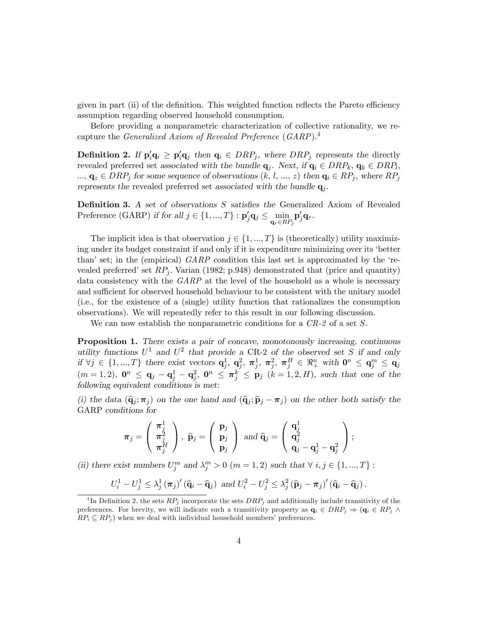given in part (ii) of the definition. This weighted function reflects the Pareto efficiency assumption regarding observed household consumption.

Before providing a nonparametric characterization of collective rationality, we recapture the Generalized Axiom of Revealed Preference (GARP).<sup>4</sup>

**Definition 2.** If  $p'_i q_i \geq p'_i q_j$  then  $q_i \in DRP_j$ , where  $DRP_j$  represents the directly revealed preferred set associated with the bundle  $q_j$ . Next, if  $q_i \in DRP_k$ ,  $q_k \in DRP_l$ ,  $..., \mathbf{q}_z \in DRP_j$  for some sequence of observations  $(k, l, ..., z)$  then  $\mathbf{q}_i \in RP_j$ , where  $RP_j$ represents the revealed preferred set associated with the bundle  $q_j$ .

**Definition 3.** A set of observations S satisfies the Generalized Axiom of Revealed Preference (GARP) if for all  $j \in \{1, ..., T\} : \mathbf{p}'_j \mathbf{q}_j \le \min_{\mathbf{q}_r \in RP_j}$  $\mathbf{p}_j'\mathbf{q}_r.$ 

The implicit idea is that observation  $j \in \{1, ..., T\}$  is (theoretically) utility maximizing under its budget constraint if and only if it is expenditure minimizing over its ëbetter than' set; in the (empirical)  $GARP$  condition this last set is approximated by the 'revealed preferred' set  $RP_i$ . Varian (1982; p.948) demonstrated that (price and quantity) data consistency with the GARP at the level of the household as a whole is necessary and sufficient for observed household behaviour to be consistent with the unitary model (i.e., for the existence of a (single) utility function that rationalizes the consumption observations). We will repeatedly refer to this result in our following discussion.

We can now establish the nonparametric conditions for a  $CR-2$  of a set S.

Proposition 1. There exists a pair of concave, monotonously increasing, continuous utility functions  $U^1$  and  $U^2$  that provide a CR-2 of the observed set S if and only if  $\forall j \in \{1, ..., T\}$  there exist vectors  $\mathbf{q}_j^1$ ,  $\mathbf{q}_j^2$ ,  $\boldsymbol{\pi}_j^1$ ,  $\boldsymbol{\pi}_j^2$ ,  $\boldsymbol{\pi}_j^H$   $\in \Re^n_+$  with  $\mathbf{0}^n \leq \mathbf{q}_j^m \leq \mathbf{q}_j$  $(m = 1, 2), \mathbf{0}^n \leq \mathbf{q}_j - \mathbf{q}_j^1 - \mathbf{q}_j^2, \mathbf{0}^n \leq \pi_j^k \leq \mathbf{p}_j \ (k = 1, 2, H), \text{ such that one of the }$ following equivalent conditions is met:

(i) the data  $(\hat{\mathbf{q}}_j; \pi_j)$  on the one hand and  $(\hat{\mathbf{q}}_j; \hat{\mathbf{p}}_j - \pi_j)$  on the other both satisfy the GARP conditions for

$$
\boldsymbol{\pi}_j=\left(\begin{array}{c}\boldsymbol{\pi}_j^1\\\boldsymbol{\pi}_j^2\\\boldsymbol{\pi}_j^H\end{array}\right),\ \widehat{\mathbf{p}}_j=\left(\begin{array}{c}\mathbf{p}_j\\\mathbf{p}_j\\mathbf{p}_j\end{array}\right)\ \text{and}\ \widehat{\mathbf{q}}_j=\left(\begin{array}{c}\mathbf{q}_j^1\\\mathbf{q}_j^2\\\mathbf{q}_j-\mathbf{q}_j^1-\mathbf{q}_j^2\end{array}\right);
$$

(ii) there exist numbers  $U_j^m$  and  $\lambda_j^m > 0$   $(m = 1, 2)$  such that  $\forall i, j \in \{1, ..., T\}$ :

$$
U_i^1 - U_j^1 \leq \lambda_j^1 (\pi_j)' (\widehat{\mathbf{q}}_i - \widehat{\mathbf{q}}_j) \text{ and } U_i^2 - U_j^2 \leq \lambda_j^2 (\widehat{\mathbf{p}}_j - \pi_j)' (\widehat{\mathbf{q}}_i - \widehat{\mathbf{q}}_j).
$$

<sup>&</sup>lt;sup>4</sup>In Definition 2, the sets  $RP_j$  incorporate the sets  $DRP_j$  and additionally include transitivity of the preferences. For brevity, we will indicate such a transitivity property as  $\mathbf{q}_i \in DRP_j \Rightarrow (\mathbf{q}_i \in RP_j \wedge \mathbf{q}_i)$  $RP_i \subseteq RP_j$ ) when we deal with individual household members' preferences.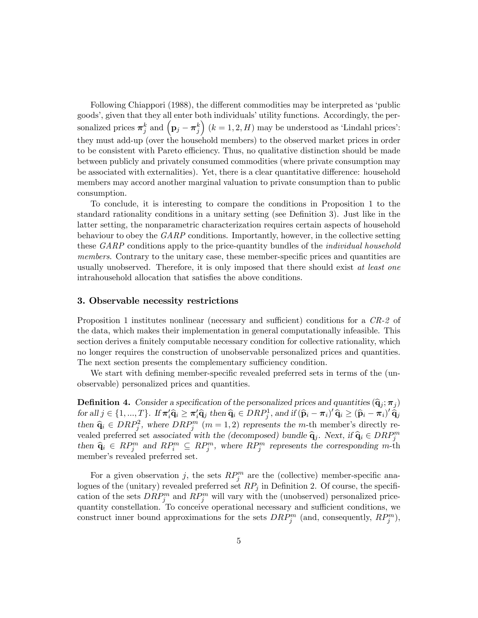Following Chiappori (1988), the different commodities may be interpreted as 'public goods', given that they all enter both individuals' utility functions. Accordingly, the personalized prices  $\boldsymbol{\pi}_{j}^{k}$  and  $(p_{j} - \boldsymbol{\pi}_{j}^{k})$  $(k = 1, 2, H)$  may be understood as 'Lindahl prices': they must add-up (over the household members) to the observed market prices in order to be consistent with Pareto efficiency. Thus, no qualitative distinction should be made between publicly and privately consumed commodities (where private consumption may be associated with externalities). Yet, there is a clear quantitative difference: household members may accord another marginal valuation to private consumption than to public consumption.

To conclude, it is interesting to compare the conditions in Proposition 1 to the standard rationality conditions in a unitary setting (see Definition 3). Just like in the latter setting, the nonparametric characterization requires certain aspects of household behaviour to obey the GARP conditions. Importantly, however, in the collective setting these GARP conditions apply to the price-quantity bundles of the *individual household* members. Contrary to the unitary case, these member-specific prices and quantities are usually unobserved. Therefore, it is only imposed that there should exist at least one intrahousehold allocation that satisfies the above conditions.

## 3. Observable necessity restrictions

Proposition 1 institutes nonlinear (necessary and sufficient) conditions for a  $CR-2$  of the data, which makes their implementation in general computationally infeasible. This section derives a finitely computable necessary condition for collective rationality, which no longer requires the construction of unobservable personalized prices and quantities. The next section presents the complementary sufficiency condition.

We start with defining member-specific revealed preferred sets in terms of the (unobservable) personalized prices and quantities.

**Definition 4.** Consider a specification of the personalized prices and quantities  $(\hat{\mathbf{q}}_j; \boldsymbol{\pi}_j)$ for all  $j \in \{1, ..., T\}$ . If  $\pi'_i \hat{\mathbf{q}}_i \ge \pi'_i \hat{\mathbf{q}}_j$  then  $\hat{\mathbf{q}}_i \in DRP_j^1$ , and if  $(\hat{\mathbf{p}}_i - \pi_i)' \hat{\mathbf{q}}_i \ge (\hat{\mathbf{p}}_i - \pi_i)' \hat{\mathbf{q}}_j$ then  $\hat{\mathbf{q}}_i \in DRP_j^2$ , where  $DRP_j^m$   $(m = 1, 2)$  represents the m-th member's directly revealed preferred set associated with the (decomposed) bundle  $\hat{\mathbf{q}}_j$ . Next, if  $\hat{\mathbf{q}}_i \in DRP_j^m$ then  $\hat{\mathbf{q}}_i \in RP_j^m$  and  $RP_j^m \subseteq RP_j^m$ , where  $RP_j^m$  represents the corresponding m-th member's revealed preferred set.

For a given observation j, the sets  $RP_j^m$  are the (collective) member-specific analogues of the (unitary) revealed preferred set  $RP_j$  in Definition 2. Of course, the specification of the sets  $DRP_j^m$  and  $RP_j^m$  will vary with the (unobserved) personalized pricequantity constellation. To conceive operational necessary and sufficient conditions, we construct inner bound approximations for the sets  $DRP_j^m$  (and, consequently,  $RP_j^m$ ),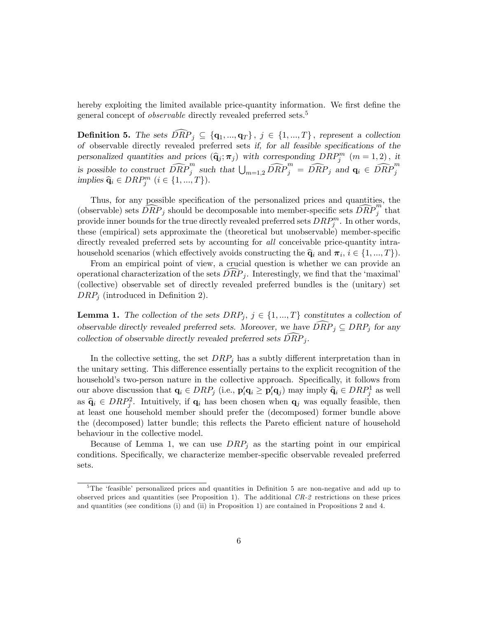hereby exploiting the limited available price-quantity information. We first define the general concept of *observable* directly revealed preferred sets.<sup>5</sup>

**Definition 5.** The sets  $\widehat{DRP}_j \subseteq \{q_1, ..., q_T\}, j \in \{1, ..., T\}$ , represent a collection of observable directly revealed preferred sets if, for all feasible specifications of the personalized quantities and prices  $(\hat{\mathbf{q}}_j; \boldsymbol{\pi}_j)$  with corresponding  $DRP_j^m$   $(m = 1, 2)$ , it is possible to construct  $\widehat{DRP}_j^m$  such that  $\bigcup_{m=1,2} \widehat{DRP}_j^m = \widehat{DRP}_j$  and  $\mathbf{q}_i \in \widehat{DRP}_j^m$  implies  $\widehat{\mathbf{q}}_i \in DRP_j^m$   $(i \in \{1, ..., T\})$ .

Thus, for any possible specification of the personalized prices and quantities, the (observable) sets  $\overrightarrow{DRP}_j$  should be decomposable into member-specific sets  $\overrightarrow{DRP}_j^m$  that provide inner bounds for the true directly revealed preferred sets  $DRP_j^m$ . In other words, these (empirical) sets approximate the (theoretical but unobservable) member-specific directly revealed preferred sets by accounting for *all* conceivable price-quantity intrahousehold scenarios (which effectively avoids constructing the  $\hat{q}_i$  and  $\pi_i$ ,  $i \in \{1, ..., T\}$ ).

From an empirical point of view, a crucial question is whether we can provide an operational characterization of the sets  $DRP_j$ . Interestingly, we find that the 'maximal' (collective) observable set of directly revealed preferred bundles is the (unitary) set  $DRP_j$  (introduced in Definition 2).

**Lemma 1.** The collection of the sets  $DRP_j$ ,  $j \in \{1, ..., T\}$  constitutes a collection of observable directly revealed preferred sets. Moreover, we have  $\widehat{DRP}_i \subseteq DRP_i$  for any collection of observable directly revealed preferred sets  $\widehat{DRP}_i$ .

In the collective setting, the set  $DRP_j$  has a subtly different interpretation than in the unitary setting. This difference essentially pertains to the explicit recognition of the household's two-person nature in the collective approach. Specifically, it follows from our above discussion that  $\mathbf{q}_i \in DRP_j$  (i.e.,  $\mathbf{p}'_i \mathbf{q}_i \ge \mathbf{p}'_i \mathbf{q}_j$ ) may imply  $\hat{\mathbf{q}}_i \in DRP_j^1$  as well as  $\hat{\mathbf{q}}_i \in DRP_i^2$ . Intuitively, if  $\mathbf{q}_i$  has been chosen when  $\mathbf{q}_j$  was equally feasible, then at least one household member should prefer the (decomposed) former bundle above the (decomposed) latter bundle; this reflects the Pareto efficient nature of household behaviour in the collective model.

Because of Lemma 1, we can use  $DRP_j$  as the starting point in our empirical conditions. Specifically, we characterize member-specific observable revealed preferred sets.

 $5$ The 'feasible' personalized prices and quantities in Definition 5 are non-negative and add up to observed prices and quantities (see Proposition 1). The additional CR-2 restrictions on these prices and quantities (see conditions (i) and (ii) in Proposition 1) are contained in Propositions 2 and 4.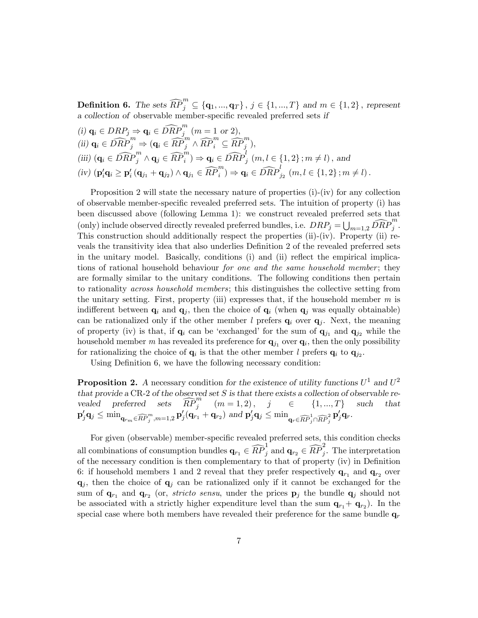**Definition 6.** The sets  $\widehat{RP}_j^m \subseteq \{q_1, ..., q_T\}$ ,  $j \in \{1, ..., T\}$  and  $m \in \{1, 2\}$ , represent a collection of observable member-specific revealed preferred sets if

(i) 
$$
\mathbf{q}_i \in DRP_j \Rightarrow \mathbf{q}_i \in \widehat{DRP}_j^m
$$
  $(m = 1 \text{ or } 2),$   
\n(ii)  $\mathbf{q}_i \in \widehat{DRP}_j^m \Rightarrow (\mathbf{q}_i \in \widehat{RP}_j^m \land \widehat{RP}_i^m \subseteq \widehat{RP}_j^m),$   
\n(iii)  $(\mathbf{q}_i \in \widehat{DRP}_j^m \land \mathbf{q}_j \in \widehat{RP}_i^m) \Rightarrow \mathbf{q}_i \in \widehat{DRP}_j^l$   $(m, l \in \{1, 2\}; m \neq l)$ , and  
\n(iv)  $(\mathbf{p}_i'\mathbf{q}_i \geq \mathbf{p}_i'(\mathbf{q}_{j_1} + \mathbf{q}_{j_2}) \land \mathbf{q}_{j_1} \in \widehat{RP}_i^m) \Rightarrow \mathbf{q}_i \in \widehat{DRP}_{j_2}^l$   $(m, l \in \{1, 2\}; m \neq l)$ .

Proposition 2 will state the necessary nature of properties (i)-(iv) for any collection of observable member-specific revealed preferred sets. The intuition of property (i) has been discussed above (following Lemma 1): we construct revealed preferred sets that (only) include observed directly revealed preferred bundles, i.e.  $DRP_j = \bigcup_{m=1,2} \widehat{DRP}_j^m$ . This construction should additionally respect the properties (ii)-(iv). Property (ii) reveals the transitivity idea that also underlies Definition 2 of the revealed preferred sets in the unitary model. Basically, conditions  $(i)$  and  $(ii)$  reflect the empirical implications of rational household behaviour *for one and the same household member*; they are formally similar to the unitary conditions. The following conditions then pertain to rationality across household members; this distinguishes the collective setting from the unitary setting. First, property (iii) expresses that, if the household member  $m$  is indifferent between  $q_i$  and  $q_j$ , then the choice of  $q_i$  (when  $q_j$  was equally obtainable) can be rationalized only if the other member l prefers  $q_i$  over  $q_j$ . Next, the meaning of property (iv) is that, if  $\mathbf{q}_i$  can be 'exchanged' for the sum of  $\mathbf{q}_{j_1}$  and  $\mathbf{q}_{j_2}$  while the household member m has revealed its preference for  $\mathbf{q}_{j_1}$  over  $\mathbf{q}_i$ , then the only possibility for rationalizing the choice of  $\mathbf{q}_i$  is that the other member l prefers  $\mathbf{q}_i$  to  $\mathbf{q}_{j_2}$ .

Using Definition 6, we have the following necessary condition:

**Proposition 2.** A necessary condition for the existence of utility functions  $U^1$  and  $U^2$ that provide a CR-2 of the observed set  $S$  is that there exists a collection of observable revealed preferred sets  $\widehat{RP}_j^m$   $(m = 1, 2), j \in \{1, ..., T\}$  such that  $\mathbf{p}'_j \mathbf{q}_j \leq \min_{\mathbf{q}_{rm} \in \widehat{RP}_j^m, m=1,2} \mathbf{p}'_j(\mathbf{q}_{r_1} + \mathbf{q}_{r_2}) \text{ and } \mathbf{p}'_j \mathbf{q}_j \leq \min_{\mathbf{q}_r \in \widehat{RP}_j^1 \cap \widehat{RP}_j^2} \mathbf{p}'_j \mathbf{q}_r.$ 

For given (observable) member-specific revealed preferred sets, this condition checks all combinations of consumption bundles  $\mathbf{q}_{r_1} \in \widehat{RP}_j^1$  and  $\mathbf{q}_{r_2} \in \widehat{RP}_j^2$ . The interpretation of the necessary condition is then complementary to that of property (iv) in Definition 6: if household members 1 and 2 reveal that they prefer respectively  $\mathbf{q}_{r_1}$  and  $\mathbf{q}_{r_2}$  over  $q_i$ , then the choice of  $q_i$  can be rationalized only if it cannot be exchanged for the sum of  $\mathbf{q}_{r_1}$  and  $\mathbf{q}_{r_2}$  (or, *stricto sensu*, under the prices  $\mathbf{p}_j$  the bundle  $\mathbf{q}_j$  should not be associated with a strictly higher expenditure level than the sum  $\mathbf{q}_{r_1} + \mathbf{q}_{r_2}$ ). In the special case where both members have revealed their preference for the same bundle  $q_r$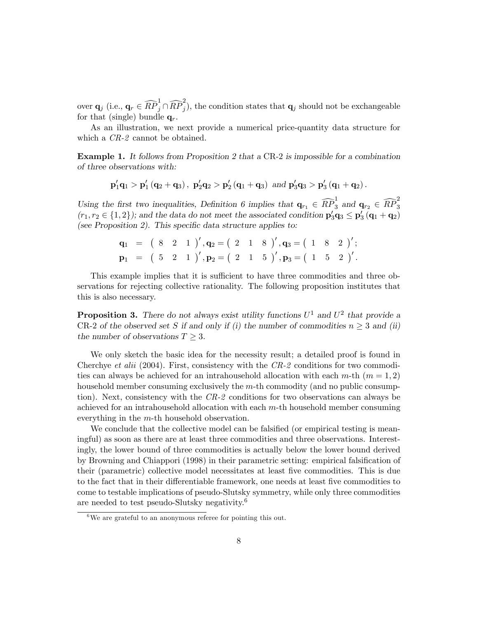over  $\mathbf{q}_j$  (i.e.,  $\mathbf{q}_r \in \widehat{RP}^1_j \cap \widehat{RP}^2_j$ ), the condition states that  $\mathbf{q}_j$  should not be exchangeable for that (single) bundle  $q_r$ .

As an illustration, we next provide a numerical price-quantity data structure for which a  $CR-2$  cannot be obtained.

Example 1. It follows from Proposition 2 that a CR-2 is impossible for a combination of three observations with:

$$
\mathbf{p}_1' \mathbf{q}_1 > \mathbf{p}_1' \left( \mathbf{q}_2 + \mathbf{q}_3 \right), \; \mathbf{p}_2' \mathbf{q}_2 > \mathbf{p}_2' \left( \mathbf{q}_1 + \mathbf{q}_3 \right) \; \text{and} \; \mathbf{p}_3' \mathbf{q}_3 > \mathbf{p}_3' \left( \mathbf{q}_1 + \mathbf{q}_2 \right).
$$

Using the first two inequalities, Definition 6 implies that  $\mathbf{q}_{r_1} \in \widehat{RP}^1_3$  and  $\mathbf{q}_{r_2} \in \widehat{RP}^2_3$  $(r_1, r_2 \in \{1, 2\})$ ; and the data do not meet the associated condition  $\mathbf{p}_3' \mathbf{q}_3 \leq \mathbf{p}_3' (\mathbf{q}_1 + \mathbf{q}_2)$ (see Proposition 2). This specific data structure applies to:

$$
\begin{array}{llll} \mathbf{q}_1&=&\left( \begin{array}{ccccc}8&2&1 \end{array}\right)',\mathbf{q}_2=\left( \begin{array}{ccccc}2&1&8 \end{array}\right)',\mathbf{q}_3=\left( \begin{array}{ccccc}1&8&2 \end{array}\right)',\\ \mathbf{p}_1&=&\left( \begin{array}{ccccc}5&2&1 \end{array}\right)',\mathbf{p}_2=\left( \begin{array}{ccccc}2&1&5 \end{array}\right)',\mathbf{p}_3=\left( \begin{array}{ccccc}1&5&2 \end{array}\right)' .\end{array}
$$

This example implies that it is sufficient to have three commodities and three observations for rejecting collective rationality. The following proposition institutes that this is also necessary.

**Proposition 3.** There do not always exist utility functions  $U^1$  and  $U^2$  that provide a CR-2 of the observed set S if and only if (i) the number of commodities  $n \geq 3$  and (ii) the number of observations  $T \geq 3$ .

We only sketch the basic idea for the necessity result; a detailed proof is found in Cherchye et alii (2004). First, consistency with the  $CR-2$  conditions for two commodities can always be achieved for an intrahousehold allocation with each  $m$ -th  $(m = 1, 2)$ household member consuming exclusively the m-th commodity (and no public consumption). Next, consistency with the CR-2 conditions for two observations can always be achieved for an intrahousehold allocation with each m-th household member consuming everything in the m-th household observation.

We conclude that the collective model can be falsified (or empirical testing is meaningful) as soon as there are at least three commodities and three observations. Interestingly, the lower bound of three commodities is actually below the lower bound derived by Browning and Chiappori (1998) in their parametric setting: empirical falsification of their (parametric) collective model necessitates at least Öve commodities. This is due to the fact that in their differentiable framework, one needs at least five commodities to come to testable implications of pseudo-Slutsky symmetry, while only three commodities are needed to test pseudo-Slutsky negativity.<sup>6</sup>

 $6$ We are grateful to an anonymous referee for pointing this out.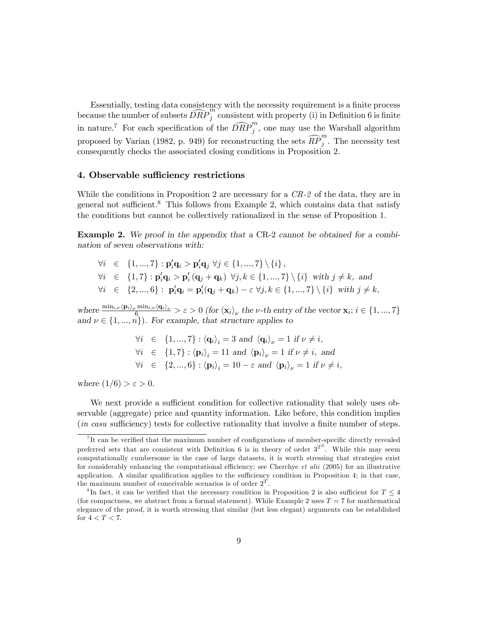Essentially, testing data consistency with the necessity requirement is a finite process because the number of subsets  $\widehat{DRP}_j^m$  consistent with property (i) in Definition 6 is finite in nature.<sup>7</sup> For each specification of the  $\widehat{DRP}_j^m$ , one may use the Warshall algorithm proposed by Varian (1982, p. 949) for reconstructing the sets  $\widehat{RP}_j^m$ . The necessity test consequently checks the associated closing conditions in Proposition 2.

## 4. Observable sufficiency restrictions

While the conditions in Proposition 2 are necessary for a CR-2 of the data, they are in general not sufficient.<sup>8</sup> This follows from Example 2, which contains data that satisfy the conditions but cannot be collectively rationalized in the sense of Proposition 1.

Example 2. We proof in the appendix that a CR-2 cannot be obtained for a combination of seven observations with:

 $\forall i \in \{1, ..., 7\} : \mathbf{p}_i' \mathbf{q}_i > \mathbf{p}_i' \mathbf{q}_j \ \forall j \in \{1, ..., 7\} \setminus \{i\},\$  $\forall i \in \{1,7\} : \mathbf{p}_i' \mathbf{q}_i > \mathbf{p}_i' (\mathbf{q}_j + \mathbf{q}_k) \ \forall j, k \in \{1, ..., 7\} \setminus \{i\} \ \text{with } j \neq k, \text{ and}$  $\forall i \in \{2, ..., 6\} : \mathbf{p}_i' \mathbf{q}_i = \mathbf{p}_i'(\mathbf{q}_j + \mathbf{q}_k) - \varepsilon \ \forall j, k \in \{1, ..., 7\} \setminus \{i\} \ \text{with } j \neq k,$ 

where  $\frac{\min_{i,\nu} \langle \mathbf{p}_i \rangle_{\nu} \min_{i,\nu} \langle \mathbf{q}_i \rangle_{\nu}}{6} > \varepsilon > 0$  (for  $\langle \mathbf{x}_i \rangle_{\nu}$  the  $\nu$ -th entry of the vector  $\mathbf{x}_i$ ;  $i \in \{1, ..., 7\}$ and  $\nu \in \{1, ..., n\}$ . For example, that structure applies to

> $\forall i \in \{1, ..., 7\} : \langle \mathbf{q}_i \rangle_i = 3 \text{ and } \langle \mathbf{q}_i \rangle_\nu = 1 \text{ if } \nu \neq i,$  $\forall i \in \{1, 7\} : \langle \mathbf{p}_i \rangle_i = 11 \text{ and } \langle \mathbf{p}_i \rangle_\nu = 1 \text{ if } \nu \neq i, \text{ and}$  $\forall i \in \{2, ..., 6\} : \langle \mathbf{p}_i \rangle_i = 10 - \varepsilon \text{ and } \langle \mathbf{p}_i \rangle_\nu = 1 \text{ if } \nu \neq i,$

where  $(1/6) > \varepsilon > 0$ .

We next provide a sufficient condition for collective rationality that solely uses observable (aggregate) price and quantity information. Like before, this condition implies  $(in\;casu\;sufficiently)$  tests for collective rationality that involve a finite number of steps.

 ${}^{7}$ It can be verified that the maximum number of configurations of member-specific directly revealed preferred sets that are consistent with Definition 6 is in theory of order  $3^{T^2}$ . While this may seem computationally cumbersome in the case of large datasets, it is worth stressing that strategies exist for considerably enhancing the computational efficiency; see Cherchye et alii (2005) for an illustrative application. A similar qualification applies to the sufficiency condition in Proposition 4; in that case, the maximum number of conceivable scenarios is of order  $2^T$ .

<sup>&</sup>lt;sup>8</sup>In fact, it can be verified that the necessary condition in Proposition 2 is also sufficient for  $T \leq 4$ (for compactness, we abstract from a formal statement). While Example 2 uses  $T = 7$  for mathematical elegance of the proof, it is worth stressing that similar (but less elegant) arguments can be established for  $4 < T < 7$ .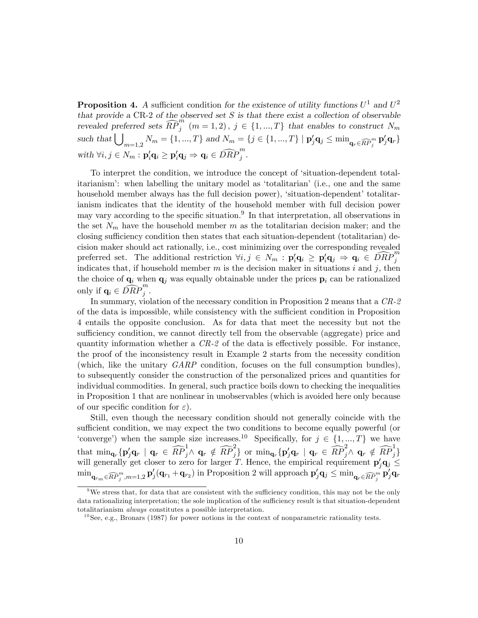**Proposition 4.** A sufficient condition for the existence of utility functions  $U^1$  and  $U^2$ that provide a  $CR-2$  of the observed set  $S$  is that there exist a collection of observable revealed preferred sets  $\widehat{RP}^m_j$  (m = 1, 2),  $j \in \{1, ..., T\}$  that enables to construct  $N_m$ such that  $\bigcup_{m=1,2} N_m = \{1, ..., T\}$  and  $N_m = \{j \in \{1, ..., T\} \mid \mathbf{p}'_j \mathbf{q}_j \leq \min_{\mathbf{q}_r \in \widehat{RP}_j^m} \mathbf{p}'_j \mathbf{q}_r\}$ with  $\forall i, j \in N_m : \mathbf{p}_i' \mathbf{q}_i \geq \mathbf{p}_i' \mathbf{q}_j \Rightarrow \mathbf{q}_i \in \widehat{DRP}_j^m$ .

To interpret the condition, we introduce the concept of ësituation-dependent totalitarianism<sup>†</sup>: when labelling the unitary model as 'totalitarian' (i.e., one and the same household member always has the full decision power), 'situation-dependent' totalitarianism indicates that the identity of the household member with full decision power may vary according to the specific situation.<sup>9</sup> In that interpretation, all observations in the set  $N_m$  have the household member m as the totalitarian decision maker; and the closing sufficiency condition then states that each situation-dependent (totalitarian) decision maker should act rationally, i.e., cost minimizing over the corresponding revealed preferred set. The additional restriction  $\forall i, j \in N_m : \mathbf{p}_i' \mathbf{q}_i \geq \mathbf{p}_i' \mathbf{q}_j \Rightarrow \mathbf{q}_i \in \widehat{DRP}_j^m$ indicates that, if household member m is the decision maker in situations i and j, then the choice of  $\mathbf{q}_i$  when  $\mathbf{q}_j$  was equally obtainable under the prices  $\mathbf{p}_i$  can be rationalized only if  $\mathbf{q}_i \in \widehat{DRP}_j^m$ .

In summary, violation of the necessary condition in Proposition 2 means that a CR-2 of the data is impossible, while consistency with the sufficient condition in Proposition 4 entails the opposite conclusion. As for data that meet the necessity but not the sufficiency condition, we cannot directly tell from the observable (aggregate) price and quantity information whether a  $CR-2$  of the data is effectively possible. For instance, the proof of the inconsistency result in Example 2 starts from the necessity condition (which, like the unitary GARP condition, focuses on the full consumption bundles), to subsequently consider the construction of the personalized prices and quantities for individual commodities. In general, such practice boils down to checking the inequalities in Proposition 1 that are nonlinear in unobservables (which is avoided here only because of our specific condition for  $\varepsilon$ ).

Still, even though the necessary condition should not generally coincide with the sufficient condition, we may expect the two conditions to become equally powerful (or 'converge') when the sample size increases.<sup>10</sup> Specifically, for  $j \in \{1, ..., T\}$  we have that  $\min_{\mathbf{q}_r} {\{\mathbf{p}_j'\mathbf{q}_r \mid \mathbf{q}_r \in \widehat{RP}_{j}^1 \land \mathbf{q}_r \notin \widehat{RP}_{j}^2\}}$  or  $\min_{\mathbf{q}_r} {\{\mathbf{p}_j'\mathbf{q}_r \mid \mathbf{q}_r \in \widehat{RP}_{j}^2 \land \mathbf{q}_r \notin \widehat{RP}_{j}^1\}}$ will generally get closer to zero for larger T. Hence, the empirical requirement  $\mathbf{p}'_j \mathbf{q}_j \leq$  $\min_{\mathbf{q}_{rm} \in \widehat{RP}_{j}^{m}, m=1,2} \mathbf{p}'_j(\mathbf{q}_{r_1}+\mathbf{q}_{r_2})$  in Proposition 2 will approach  $\mathbf{p}'_j \mathbf{q}_j \leq \min_{\mathbf{q}_r \in \widehat{RP}_{j}^{m}} \mathbf{p}'_j \mathbf{q}_r$ 

<sup>&</sup>lt;sup>9</sup>We stress that, for data that are consistent with the sufficiency condition, this may not be the only data rationalizing interpretation; the sole implication of the sufficiency result is that situation-dependent totalitarianism always constitutes a possible interpretation.

 $10$  See, e.g., Bronars (1987) for power notions in the context of nonparametric rationality tests.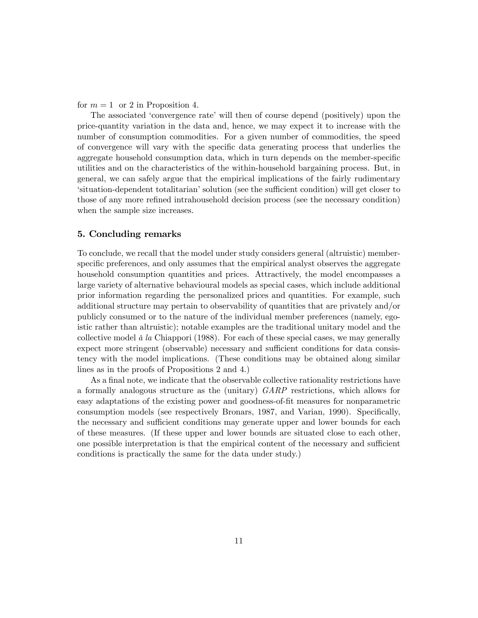for  $m = 1$  or 2 in Proposition 4.

The associated 'convergence rate' will then of course depend (positively) upon the price-quantity variation in the data and, hence, we may expect it to increase with the number of consumption commodities. For a given number of commodities, the speed of convergence will vary with the speciÖc data generating process that underlies the aggregate household consumption data, which in turn depends on the member-specific utilities and on the characteristics of the within-household bargaining process. But, in general, we can safely argue that the empirical implications of the fairly rudimentary ësituation-dependent totalitarianísolution (see the su¢ cient condition) will get closer to those of any more refined intrahousehold decision process (see the necessary condition) when the sample size increases.

## 5. Concluding remarks

To conclude, we recall that the model under study considers general (altruistic) memberspecific preferences, and only assumes that the empirical analyst observes the aggregate household consumption quantities and prices. Attractively, the model encompasses a large variety of alternative behavioural models as special cases, which include additional prior information regarding the personalized prices and quantities. For example, such additional structure may pertain to observability of quantities that are privately and/or publicly consumed or to the nature of the individual member preferences (namely, egoistic rather than altruistic); notable examples are the traditional unitary model and the collective model  $\dot{a}$  la Chiappori (1988). For each of these special cases, we may generally expect more stringent (observable) necessary and sufficient conditions for data consistency with the model implications. (These conditions may be obtained along similar lines as in the proofs of Propositions 2 and 4.)

As a final note, we indicate that the observable collective rationality restrictions have a formally analogous structure as the (unitary) GARP restrictions, which allows for easy adaptations of the existing power and goodness-of-fit measures for nonparametric consumption models (see respectively Bronars, 1987, and Varian, 1990). Specifically, the necessary and sufficient conditions may generate upper and lower bounds for each of these measures. (If these upper and lower bounds are situated close to each other, one possible interpretation is that the empirical content of the necessary and sufficient conditions is practically the same for the data under study.)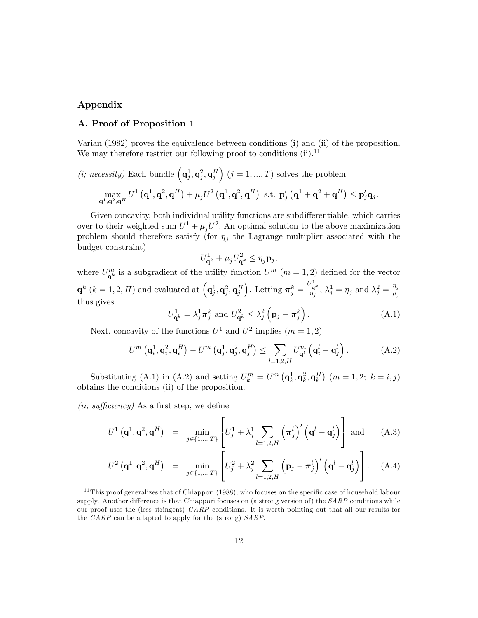# Appendix

## A. Proof of Proposition 1

Varian (1982) proves the equivalence between conditions (i) and (ii) of the proposition. We may therefore restrict our following proof to conditions  $(ii).<sup>11</sup>$ 

(*i*; *necessity*) Each bundle 
$$
(\mathbf{q}_j^1, \mathbf{q}_j^2, \mathbf{q}_j^H) (j = 1, ..., T)
$$
 solves the problem  
\n
$$
\max_{\mathbf{q}^1, \mathbf{q}^2, \mathbf{q}^H} U^1 (\mathbf{q}^1, \mathbf{q}^2, \mathbf{q}^H) + \mu_j U^2 (\mathbf{q}^1, \mathbf{q}^2, \mathbf{q}^H) \text{ s.t. } \mathbf{p}_j' (\mathbf{q}^1 + \mathbf{q}^2 + \mathbf{q}^H) \leq \mathbf{p}_j' \mathbf{q}_j.
$$

Given concavity, both individual utility functions are subdifferentiable, which carries over to their weighted sum  $U^1 + \mu_j U^2$ . An optimal solution to the above maximization problem should therefore satisfy (for  $\eta_j$  the Lagrange multiplier associated with the budget constraint)

$$
U_{\mathbf{q}^k}^1 + \mu_j U_{\mathbf{q}^k}^2 \le \eta_j \mathbf{p}_j,
$$

where  $U_{\mathbf{q}^k}^m$  is a subgradient of the utility function  $U^m$   $(m = 1, 2)$  defined for the vector  $\mathbf{q}^k$   $(k = 1, 2, H)$  and evaluated at  $\left(\mathbf{q}_{j}^{1}, \mathbf{q}_{j}^{2}, \mathbf{q}_{j}^{H}\right)$ ). Letting  $\boldsymbol{\pi}_j^k =$  $U^1_{\mathbf{q}^k}$  $\frac{\partial q^k}{\partial \eta_j}, \lambda_j^1 = \eta_j$  and  $\lambda_j^2 = \frac{\eta_j}{\mu_j}$  $\overline{\mu_j}$ thus gives

$$
U_{\mathbf{q}^k}^1 = \lambda_j^1 \boldsymbol{\pi}_j^k \text{ and } U_{\mathbf{q}^k}^2 \le \lambda_j^2 \left(\mathbf{p}_j - \boldsymbol{\pi}_j^k\right). \tag{A.1}
$$

Next, concavity of the functions  $U^1$  and  $U^2$  implies  $(m = 1, 2)$ 

$$
U^{m}\left(\mathbf{q}_{i}^{1},\mathbf{q}_{i}^{2},\mathbf{q}_{i}^{H}\right)-U^{m}\left(\mathbf{q}_{j}^{1},\mathbf{q}_{j}^{2},\mathbf{q}_{j}^{H}\right)\leq\sum_{l=1,2,H}U_{\mathbf{q}^{l}}^{m}\left(\mathbf{q}_{i}^{l}-\mathbf{q}_{j}^{l}\right).
$$
 (A.2)

Substituting (A.1) in (A.2) and setting  $U_k^m = U^m (\mathbf{q}_k^1, \mathbf{q}_k^2, \mathbf{q}_k^H)$  ( $m = 1, 2; k = i, j$ ) obtains the conditions (ii) of the proposition.

(*ii*; sufficiency) As a first step, we define

$$
U^{1}\left(\mathbf{q}^{1},\mathbf{q}^{2},\mathbf{q}^{H}\right) = \min_{j \in \{1,...,T\}} \left[ U_{j}^{1} + \lambda_{j}^{1} \sum_{l=1,2,H} \left(\pi_{j}^{l}\right)' \left(\mathbf{q}^{l} - \mathbf{q}_{j}^{l}\right) \right] \text{ and } (A.3)
$$

$$
U^2\left(\mathbf{q}^1,\mathbf{q}^2,\mathbf{q}^H\right) = \min_{j\in\{1,\dots,T\}}\left[U_j^2 + \lambda_j^2\sum_{l=1,2,H}\left(\mathbf{p}_j-\boldsymbol{\pi}_j^l\right)'\left(\mathbf{q}^l-\mathbf{q}_j^l\right)\right].\tag{A.4}
$$

<sup>&</sup>lt;sup>11</sup>This proof generalizes that of Chiappori (1988), who focuses on the specific case of household labour supply. Another difference is that Chiappori focuses on (a strong version of) the  $SARP$  conditions while our proof uses the (less stringent) GARP conditions. It is worth pointing out that all our results for the GARP can be adapted to apply for the (strong) SARP.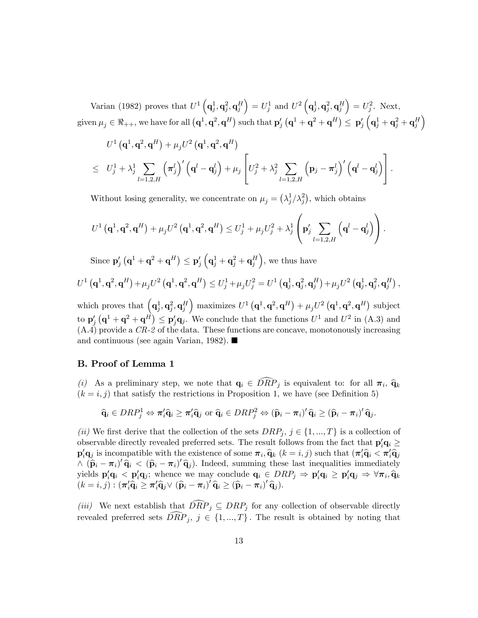Varian (1982) proves that  $U^1\left(\mathbf{q}_j^1, \mathbf{q}_j^2, \mathbf{q}_j^H\right)$  $\Big) = U_j^1 \text{ and } U^2 \left( {\bf q}_j^1, {\bf q}_j^2, {\bf q}_j^H \right)$  $= U_j^2$ . Next, given  $\mu_j \in \Re_{++},$  we have for all  $\left( \mathbf{q}^1, \mathbf{q}^2, \mathbf{q}^H \right)$  such that  $\mathbf{p}'_j \left( \mathbf{q}^1 + \mathbf{q}^2 + \mathbf{q}^H \right) \leq \ \mathbf{p}'_j$  $\left(\mathbf{q}_{j}^{1}+\mathbf{q}_{j}^{2}+\mathbf{q}_{j}^{H}\right.$  $\overline{ }$ 

$$
U^1 (\mathbf{q}^1, \mathbf{q}^2, \mathbf{q}^H) + \mu_j U^2 (\mathbf{q}^1, \mathbf{q}^2, \mathbf{q}^H)
$$
  
\n
$$
\leq U_j^1 + \lambda_j^1 \sum_{l=1,2,H} (\pi_j^l)' (\mathbf{q}^l - \mathbf{q}_j^l) + \mu_j \left[ U_j^2 + \lambda_j^2 \sum_{l=1,2,H} (\mathbf{p}_j - \pi_j^l)' (\mathbf{q}^l - \mathbf{q}_j^l) \right].
$$

Without losing generality, we concentrate on  $\mu_j = (\lambda_j^1/\lambda_j^2)$ , which obtains

$$
U^1\left(\mathbf{q}^1,\mathbf{q}^2,\mathbf{q}^H\right)+\mu_j U^2\left(\mathbf{q}^1,\mathbf{q}^2,\mathbf{q}^H\right)\leq U_j^1+\mu_j U_j^2+\lambda_j^1\left(\mathbf{p}_j'\sum_{l=1,2,H}\left(\mathbf{q}^l-\mathbf{q}_j^l\right)\right).
$$

Since  $\mathbf{p}'_j\left(\mathbf{q}^1+\mathbf{q}^2+\mathbf{q}^H\right)\leq \mathbf{p}'_j$  $\left(\mathbf{q}_{j}^{1}+\mathbf{q}_{j}^{2}+\mathbf{q}_{j}^{H}\right.$ , we thus have

$$
U^1\left(\mathbf{q}^1,\mathbf{q}^2,\mathbf{q}^H\right)+\mu_j U^2\left(\mathbf{q}^1,\mathbf{q}^2,\mathbf{q}^H\right)\leq U_j^1+\mu_j U_j^2=U^1\left(\mathbf{q}_j^1,\mathbf{q}_j^2,\mathbf{q}_j^H\right)+\mu_j U^2\left(\mathbf{q}_j^1,\mathbf{q}_j^2,\mathbf{q}_j^H\right),
$$

which proves that  $(\mathbf{q}_j^1, \mathbf{q}_j^2, \mathbf{q}_j^H)$ ) maximizes  $U^1(\mathbf{q}^1, \mathbf{q}^2, \mathbf{q}^H) + \mu_j U^2(\mathbf{q}^1, \mathbf{q}^2, \mathbf{q}^H)$  subject to  $\mathbf{p}'_j$   $(\mathbf{q}^1 + \mathbf{q}^2 + \mathbf{q}^H) \leq \mathbf{p}'_j \mathbf{q}_j$ . We conclude that the functions  $U^1$  and  $U^2$  in (A.3) and  $(A.4)$  provide a  $CR-2$  of the data. These functions are concave, monotonously increasing and continuous (see again Varian, 1982).

## B. Proof of Lemma 1

(i) As a preliminary step, we note that  $\mathbf{q}_i \in DRP_j$  is equivalent to: for all  $\pi_i$ ,  $\hat{\mathbf{q}}_k$  $(k = i, j)$  that satisfy the restrictions in Proposition 1, we have (see Definition 5)

$$
\widehat{\mathbf{q}}_i \in DRP_j^1 \Leftrightarrow \pi_i' \widehat{\mathbf{q}}_i \geq \pi_i' \widehat{\mathbf{q}}_j \text{ or } \widehat{\mathbf{q}}_i \in DRP_j^2 \Leftrightarrow (\widehat{\mathbf{p}}_i - \pi_i)' \widehat{\mathbf{q}}_i \geq (\widehat{\mathbf{p}}_i - \pi_i)' \widehat{\mathbf{q}}_j.
$$

(ii) We first derive that the collection of the sets  $DRP_j$ ,  $j \in \{1, ..., T\}$  is a collection of observable directly revealed preferred sets. The result follows from the fact that  $p_i'q_i \ge$  $\mathbf{p}_i' \mathbf{q}_j$  is incompatible with the existence of some  $\pi_i, \hat{\mathbf{q}}_k$   $(k = i, j)$  such that  $(\pi'_i \hat{\mathbf{q}}_i < \pi'_i \hat{\mathbf{q}}_j)$  $\wedge$   $(\hat{\mathbf{p}}_i - \pi_i)' \hat{\mathbf{q}}_i < (\hat{\mathbf{p}}_i - \pi_i)' \hat{\mathbf{q}}_j$ . Indeed, summing these last inequalities immediately yields  $\mathbf{p}_i'\mathbf{q}_i < \mathbf{p}_i'\mathbf{q}_j$ ; whence we may conclude  $\mathbf{q}_i \in DRP_j \Rightarrow \mathbf{p}_i'\mathbf{q}_i \ge \mathbf{p}_i'\mathbf{q}_j \Rightarrow \forall \pi_i, \hat{\mathbf{q}}_k$  $(k = i, j) : (\boldsymbol{\pi}_i' \widehat{\mathbf{q}}_i \geq \boldsymbol{\pi}_i' \widehat{\mathbf{q}}_j \vee (\widehat{\mathbf{p}}_i - \boldsymbol{\pi}_i)' \widehat{\mathbf{q}}_i \geq (\widehat{\mathbf{p}}_i - \boldsymbol{\pi}_i)' \widehat{\mathbf{q}}_j).$ 

(iii) We next establish that  $\widehat{DRP}_j \subseteq DRP_j$  for any collection of observable directly revealed preferred sets  $\widehat{DRP}_i, j \in \{1, ..., T\}$ . The result is obtained by noting that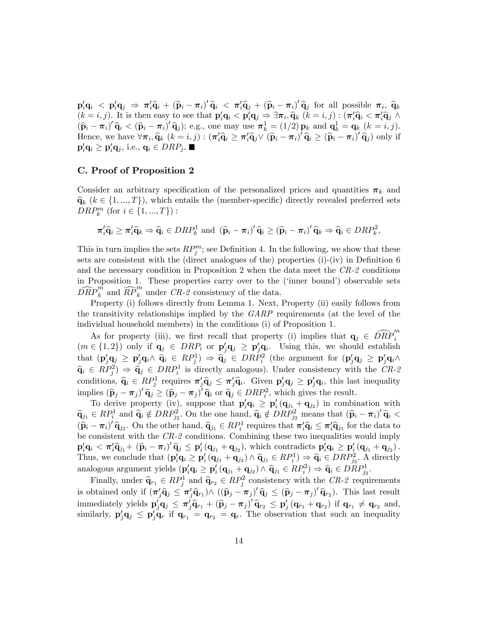$\mathbf{p}_i'\mathbf{q}_i \leq \mathbf{p}_i'\mathbf{q}_j \Rightarrow \pi_i'\mathbf{\hat{q}}_i + (\mathbf{\hat{p}}_i - \pi_i')'\mathbf{\hat{q}}_i \leq \pi_i'\mathbf{\hat{q}}_j + (\mathbf{\hat{p}}_i - \pi_i')'\mathbf{\hat{q}}_j$  for all possible  $\pi_i$ ,  $\mathbf{\hat{q}}_k$  $(k = i, j)$ . It is then easy to see that  $\mathbf{p}_i' \mathbf{q}_i < \mathbf{p}_i' \mathbf{q}_j \Rightarrow \exists \pi_i, \hat{\mathbf{q}}_k \ (k = i, j) : (\pi_i' \hat{\mathbf{q}}_i < \pi_i' \hat{\mathbf{q}}_j \wedge \pi_i' \hat{\mathbf{q}}_j \wedge \pi_i' \hat{\mathbf{q}}_j \wedge \pi_i' \hat{\mathbf{q}}_j \wedge \pi_i' \hat{\mathbf{q}}_j \wedge \pi_i' \hat{\mathbf{q}}_j \wedge \pi_i' \hat{\$  $(\widehat{\mathbf{p}}_i - \pi_i)' \widehat{\mathbf{q}}_i < (\widehat{\mathbf{p}}_i - \pi_i)' \widehat{\mathbf{q}}_j$ ; e.g., one may use  $\pi_k^1 = (1/2) \mathbf{p}_k$  and  $\mathbf{q}_k^1 = \mathbf{q}_k$   $(k = i, j)$ . Hence, we have  $\forall \pi_i, \hat{q}_k \ (k = i, j) : (\pi'_i \hat{q}_i \ge \pi'_i \hat{q}_j \vee (\hat{p}_i - \pi_i)' \hat{q}_i \ge (\hat{p}_i - \pi_i)' \hat{q}_j)$  only if  $\mathbf{p}_i'\mathbf{q}_i \ge \mathbf{p}_i'\mathbf{q}_j$ , i.e.,  $\mathbf{q}_i \in DRP_j$ .

## C. Proof of Proposition 2

Consider an arbitrary specification of the personalized prices and quantities  $\pi_k$  and  $\hat{\mathbf{q}}_k$  ( $k \in \{1, ..., T\}$ ), which entails the (member-specific) directly revealed preferred sets  $DRP_k^m$  (for  $i \in \{1, ..., T\}$ ):

$$
\pi_i' \widehat{\mathbf{q}}_i \ge \pi_i' \widehat{\mathbf{q}}_k \Rightarrow \widehat{\mathbf{q}}_i \in DRP_k^1 \text{ and } (\widehat{\mathbf{p}}_i - \pi_i)' \widehat{\mathbf{q}}_i \ge (\widehat{\mathbf{p}}_i - \pi_i)' \widehat{\mathbf{q}}_k \Rightarrow \widehat{\mathbf{q}}_i \in DRP_k^2,
$$

This in turn implies the sets  $RP_j^m$ ; see Definition 4. In the following, we show that these sets are consistent with the (direct analogues of the) properties  $(i)-(iv)$  in Definition 6 and the necessary condition in Proposition 2 when the data meet the CR-2 conditions in Proposition 1. These properties carry over to the ('inner bound') observable sets  $\widehat{DRP}_k^m$  and  $\widehat{RP}_k^m$  under  $CR-2$  consistency of the data.

Property (i) follows directly from Lemma 1. Next, Property (ii) easily follows from the transitivity relationships implied by the GARP requirements (at the level of the individual household members) in the conditions (i) of Proposition 1.

As for property (iii), we first recall that property (i) implies that  $\mathbf{q}_j \in \widehat{DRP}_i^m$  $(m \in \{1,2\})$  only if  $\mathbf{q}_j \in DRP_i$  or  $\mathbf{p}'_j \mathbf{q}_j \ge \mathbf{p}'_j \mathbf{q}_i$ . Using this, we should establish that  $(\mathbf{p}_j'\mathbf{q}_j \geq \mathbf{p}_j'\mathbf{q}_i \wedge \hat{\mathbf{q}}_i \in RP_i^1) \Rightarrow \hat{\mathbf{q}}_j \in DRP_i^2$  (the argument for  $(\mathbf{p}_j'\mathbf{q}_j \geq \mathbf{p}_j'\mathbf{q}_i \wedge \hat{\mathbf{q}}_i \in RP_i^1)$ )  $\hat{\mathbf{q}}_i \in RP_j^2$   $\Rightarrow \hat{\mathbf{q}}_j \in DRP_i^1$  is directly analogous). Under consistency with the CR-2 conditions,  $\hat{\mathbf{q}}_i \in RP_j^1$  requires  $\pi'_j \hat{\mathbf{q}}_j \leq \pi'_j \hat{\mathbf{q}}_i$ . Given  $\mathbf{p}'_j \mathbf{q}_j \geq \mathbf{p}'_j \mathbf{q}_i$ , this last inequality implies  $(\hat{\mathbf{p}}_j - \boldsymbol{\pi}_j)' \hat{\mathbf{q}}_j \geq (\hat{\mathbf{p}}_j - \boldsymbol{\pi}_j)' \hat{\mathbf{q}}_i$  or  $\hat{\mathbf{q}}_j \in DRP_i^2$ , which gives the result.

To derive property (iv), suppose that  $p'_i q_i \geq p'_i (q_{j_1} + q_{j_2})$  in combination with  $\hat{\mathbf{q}}_{j1} \in RP_i^1$  and  $\hat{\mathbf{q}}_i \notin DRP_{j_2}^2$ . On the one hand,  $\hat{\mathbf{q}}_i \notin DRP_{j_2}^2$  means that  $(\hat{\mathbf{p}}_i - \pi_i)^{\prime} \hat{\mathbf{q}}_i <$  $(\widehat{\mathbf{p}}_i - \pi_i)' \widehat{\mathbf{q}}_{j_2}$ . On the other hand,  $\widehat{\mathbf{q}}_{j_1} \in RP_i^1$  requires that  $\pi'_i \widehat{\mathbf{q}}_i \leq \pi'_i \widehat{\mathbf{q}}_{j_1}$  for the data to be consistent with the CR-2 conditions. Combining these two inequalities would imply  $\mathbf{p}_i' \mathbf{q}_i < \pi_i' \hat{\mathbf{q}}_{j1} + (\hat{\mathbf{p}}_i - \pi_i)' \hat{\mathbf{q}}_j \leq \mathbf{p}_i' (\mathbf{q}_{j1} + \mathbf{q}_{j2}),$  which contradicts  $\mathbf{p}_i' \mathbf{q}_i \geq \mathbf{p}_i' (\mathbf{q}_{j1} + \mathbf{q}_{j2}).$ Thus, we conclude that  $(\mathbf{p}_i' \mathbf{q}_i \ge \mathbf{p}_i' (\mathbf{q}_{j_1} + \mathbf{q}_{j_2}) \wedge \widehat{\mathbf{q}}_{j_1} \in RP_i^1) \Rightarrow \widehat{\mathbf{q}}_i \in DRP_i^2$ . A directly analogous argument yields  $(\mathbf{p}_i' \mathbf{q}_i \geq \mathbf{p}_i' (\mathbf{q}_{j_1} + \mathbf{q}_{j_2}) \wedge \hat{\mathbf{q}}_{j_1} \in RP_i^2) \Rightarrow \hat{\mathbf{q}}_i \in DRP_{j_2}^1$ .

Finally, under  $\hat{\mathbf{q}}_{r_1} \in RP_j^1$  and  $\hat{\mathbf{q}}_{r_2} \in RP_j^2$  consistency with the  $CR-2$  requirements is obtained only if  $(\pi'_j \hat{q}_j \leq \pi'_j \hat{q}_{r_1}) \wedge ((\hat{p}_j - \pi_j)' \hat{q}_j \leq (\hat{p}_j - \pi_j)' \hat{q}_{r_2})$ . This last result immediately yields  $\mathbf{p}'_j\mathbf{q}_j \leq \pi'_j\hat{\mathbf{q}}_{r_1} + (\hat{\mathbf{p}}_j - \pi_j)' \hat{\mathbf{q}}_{r_2} \leq \mathbf{p}'_j (\mathbf{q}_{r_1} + \mathbf{q}_{r_2})$  if  $\mathbf{q}_{r_1} \neq \mathbf{q}_{r_2}$  and, similarly,  $\mathbf{p}'_j \mathbf{q}_j \leq \mathbf{p}'_j \mathbf{q}_r$  if  $\mathbf{q}_{r_1} = \mathbf{q}_{r_2} = \mathbf{q}_r$ . The observation that such an inequality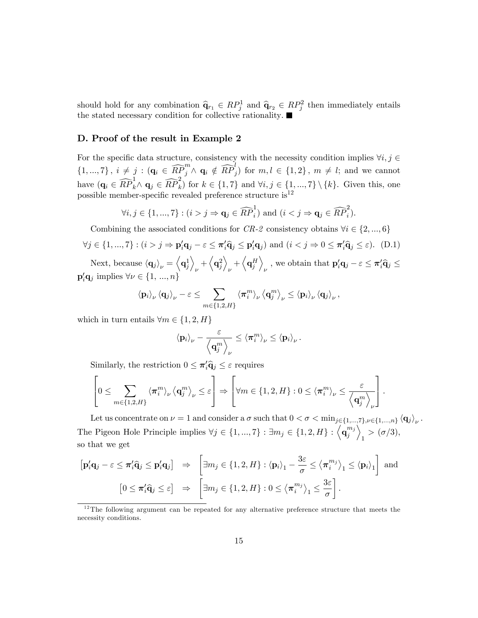should hold for any combination  $\hat{\mathbf{q}}_{r_1} \in RP_j^1$  and  $\hat{\mathbf{q}}_{r_2} \in RP_j^2$  then immediately entails the stated necessary condition for collective rationality:

## D. Proof of the result in Example 2

For the specific data structure, consistency with the necessity condition implies  $\forall i,j$   $\in$  $\{1, ..., 7\}, i \neq j : (\mathbf{q}_i \in \widehat{RP}_j^m \wedge \mathbf{q}_i \notin \widehat{RP}_j^l) \text{ for } m, l \in \{1, 2\}, m \neq l; \text{ and we cannot }$ have  $(\mathbf{q}_i \in \widehat{RP}_k^1 \land \mathbf{q}_j \in \widehat{RP}_k^2)$  for  $k \in \{1, 7\}$  and  $\forall i, j \in \{1, ..., 7\} \setminus \{k\}$ . Given this, one possible member-specific revealed preference structure is<sup>12</sup>

$$
\forall i, j \in \{1, ..., 7\} : (i > j \Rightarrow \mathbf{q}_j \in \widehat{RP}_i^1) \text{ and } (i < j \Rightarrow \mathbf{q}_j \in \widehat{RP}_i^2).
$$

Combining the associated conditions for CR-2 consistency obtains  $\forall i \in \{2, ..., 6\}$ 

$$
\forall j \in \{1, ..., 7\} : (i > j \Rightarrow \mathbf{p}_i' \mathbf{q}_j - \varepsilon \le \pi_i' \mathbf{\hat{q}}_j \le \mathbf{p}_i' \mathbf{q}_j) \text{ and } (i < j \Rightarrow 0 \le \pi_i' \mathbf{\hat{q}}_j \le \varepsilon). \tag{D.1}
$$

Next, because  $\langle \mathbf{q}_j \rangle_{\nu} = \langle \mathbf{q}_j^1 \rangle$  $\overline{\phantom{0}}$  $_{\nu}+\Bigl\langle {\bf q}_j^2$  $\overline{\phantom{0}}$  $_{\nu}+\left\langle \mathbf{q}_{j}^{H}\right\rangle$  $\setminus$ , we obtain that  $\mathbf{p}'_i \mathbf{q}_j - \varepsilon \le \pi'_i \widehat{\mathbf{q}}_j \le$  $\mathbf{p}'_i \mathbf{q}_j$  implies  $\forall \nu \in \{1, ..., n\}$ 

$$
\left\langle {\bf p}_i \right\rangle_\nu \left\langle {\bf q}_j \right\rangle_\nu - \varepsilon \leq \sum_{m \in \{1,2,H\}} \left\langle \boldsymbol{\pi}^m_i \right\rangle_\nu \left\langle {\bf q}^m_j \right\rangle_\nu \leq \left\langle {\bf p}_i \right\rangle_\nu \left\langle {\bf q}_j \right\rangle_\nu,
$$

which in turn entails  $\forall m \in \{1, 2, H\}$ 

$$
\left<\mathbf{p}_i\right>_{\nu} - \frac{\varepsilon}{\left<\mathbf{q}_j^m\right>_{\nu}} \leq \left<\pi_i^m\right>_{\nu} \leq \left<\mathbf{p}_i\right>_{\nu}.
$$

Similarly, the restriction  $0 \leq \pi'_i \hat{q}_j \leq \varepsilon$  requires

$$
\left[0\leq \sum_{m\in\{1,2,H\}}\left\langle \pi_i^m\right\rangle_{\nu}\left\langle\mathbf{q}_j^m\right\rangle_{\nu}\leq \varepsilon\right]\Rightarrow\left[\forall m\in\{1,2,H\}: 0\leq \left\langle\pi_i^m\right\rangle_{\nu}\leq \frac{\varepsilon}{\left\langle\mathbf{q}_j^m\right\rangle_{\nu}}\right].
$$

Let us concentrate on  $\nu = 1$  and consider a  $\sigma$  such that  $0 < \sigma < \min_{j \in \{1, ..., 7\}, \nu \in \{1, ..., n\}} \langle \mathbf{q}_j \rangle_{\nu}$ . The Pigeon Hole Principle implies  $\forall j \in \{1, ..., 7\} : \exists m_j \in \{1, 2, H\} : \left\langle \mathbf{q}_j^{m_j} \right\rangle$ j E  $1 > (\sigma/3),$ so that we get

$$
\begin{aligned}\n\left[\mathbf{p}_i'\mathbf{q}_j - \varepsilon \leq \pi_i'\widehat{\mathbf{q}}_j \leq \mathbf{p}_i'\mathbf{q}_j\right] &\Rightarrow \left[\exists m_j \in \{1, 2, H\} : \langle \mathbf{p}_i \rangle_1 - \frac{3\varepsilon}{\sigma} \leq \langle \pi_i^{m_j} \rangle_1 \leq \langle \mathbf{p}_i \rangle_1\right] \text{ and} \\
& \left[0 \leq \pi_i'\widehat{\mathbf{q}}_j \leq \varepsilon\right] &\Rightarrow \left[\exists m_j \in \{1, 2, H\} : 0 \leq \langle \pi_i^{m_j} \rangle_1 \leq \frac{3\varepsilon}{\sigma}\right].\n\end{aligned}
$$

 $12$ The following argument can be repeated for any alternative preference structure that meets the necessity conditions.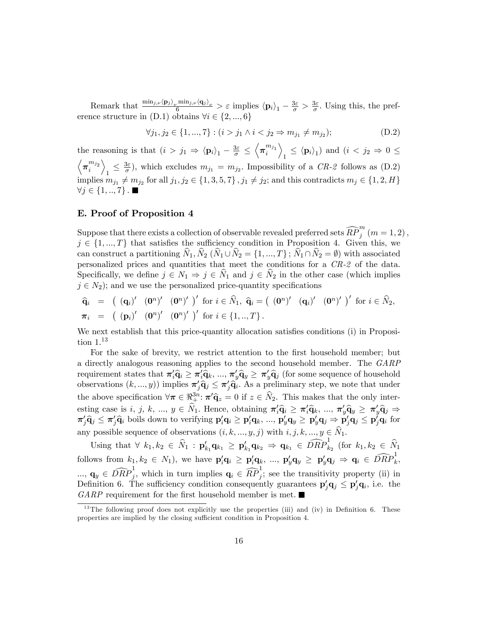Remark that  $\frac{\min_{j,\nu} \langle \mathbf{p}_j \rangle_{\nu} \min_{j,\nu} \langle \mathbf{q}_j \rangle_{\nu}}{6} > \varepsilon$  implies  $\langle \mathbf{p}_i \rangle_1 - \frac{3\varepsilon}{\sigma} > \frac{3\varepsilon}{\sigma}$  $\frac{3\varepsilon}{\sigma}$ . Using this, the preference structure in  $(D.1)$  obtains  $\forall i \in \{2, ..., 6\}$ 

$$
\forall j_1, j_2 \in \{1, ..., 7\} : (i > j_1 \land i < j_2 \Rightarrow m_{j_1} \neq m_{j_2});
$$
\n(D.2)

the reasoning is that  $(i > j_1 \Rightarrow \langle \mathbf{p}_i \rangle_1 - \frac{3\varepsilon}{\sigma} \leq$  $\left\langle \boldsymbol{\pi}_{i}^{m_{j_1}} \right\rangle$  $\overline{\phantom{0}}$  $\mathbf{1} \leq \langle \mathbf{p}_i \rangle_1$  and  $(i < j_2 \Rightarrow 0 \leq$  $\left\langle \boldsymbol{\pi}_{i}^{m_{j_{2}}}\right.$  $\setminus$  $\frac{3\varepsilon}{\sigma}$  $\frac{\partial \varepsilon}{\partial \sigma}$ , which excludes  $m_{j_1} = m_{j_2}$ . Impossibility of a CR-2 follows as (D.2) implies  $m_{j_1} \neq m_{j_2}$  for all  $j_1, j_2 \in \{1, 3, 5, 7\}$ ,  $j_1 \neq j_2$ ; and this contradicts  $m_j \in \{1, 2, H\}$  $\forall j \in \{1, ..., 7\}$ .

## E. Proof of Proposition 4

Suppose that there exists a collection of observable revealed preferred sets  $\widehat{RP}_j^m$   $(m=1,2)$  ,  $j \in \{1, ..., T\}$  that satisfies the sufficiency condition in Proposition 4. Given this, we can construct a partitioning  $\hat{N}_1, \hat{N}_2$  ( $\hat{N}_1 \cup \hat{N}_2 = \{1, ..., T\}$ ;  $\hat{N}_1 \cap \hat{N}_2 = \emptyset$ ) with associated personalized prices and quantities that meet the conditions for a CR-2 of the data. Specifically, we define  $j \in N_1 \Rightarrow j \in \hat{N}_1$  and  $j \in \hat{N}_2$  in the other case (which implies  $j \in N_2$ ; and we use the personalized price-quantity specifications

$$
\begin{array}{lll}\n\widehat{\mathbf{q}}_i & = & \left( \begin{array}{cc} (\mathbf{q}_i)' & (\mathbf{0}^n)' & (\mathbf{0}^n)' \end{array} \right)' \text{ for } i \in \widehat{N}_1, \ \widehat{\mathbf{q}}_i = \left( \begin{array}{cc} (\mathbf{0}^n)' & (\mathbf{q}_i)' & (\mathbf{0}^n)' \end{array} \right)' \text{ for } i \in \widehat{N}_2, \\
\pi_i & = & \left( \begin{array}{cc} (\mathbf{p}_i)' & (\mathbf{0}^n)' & (\mathbf{0}^n)' \end{array} \right)' \text{ for } i \in \{1, \ldots, T\}.\n\end{array}
$$

We next establish that this price-quantity allocation satisfies conditions (i) in Proposition  $1<sup>13</sup>$ 

For the sake of brevity, we restrict attention to the first household member; but a directly analogous reasoning applies to the second household member. The GARP requirement states that  $\pi'_i \hat{q}_i \geq \pi'_i \hat{q}_k, ..., \pi'_y \hat{q}_y \geq \pi'_y \hat{q}_j$  (for some sequence of household observations  $(k, ..., y)$  implies  $\pi'_j \hat{q}_j \leq \pi'_j \hat{q}_i$ . As a preliminary step, we note that under the above specification  $\forall \pi \in \mathbb{R}^{3n}_+$ :  $\pi' \hat{\mathbf{q}}_z = 0$  if  $z \in \hat{N}_2$ . This makes that the only interesting case is i, j, k, ...,  $y \in N_1$ . Hence, obtaining  $\pi'_i \hat{q}_i \geq \pi'_i \hat{q}_k$ , ...,  $\pi'_y \hat{q}_y \geq \pi'_y \hat{q}_j \Rightarrow$  $\pi'_j\widehat{\mathbf{q}}_j \leq \pi'_j\widehat{\mathbf{q}}_i$  boils down to verifying  $\mathbf{p}'_i\mathbf{q}_i \geq \mathbf{p}'_i\mathbf{q}_k, ..., \mathbf{p}'_y\mathbf{q}_y \geq \mathbf{p}'_y\mathbf{q}_j \Rightarrow \mathbf{p}'_j\mathbf{q}_j \leq \mathbf{p}'_j\mathbf{q}_i$  for any possible sequence of observations  $(i, k, ..., y, j)$  with  $i, j, k, ..., y \in \widehat{N}_1$ .

Using that  $\forall k_1, k_2 \in \hat{N}_1 : \mathbf{p}'_{k_1} \mathbf{q}_{k_1} \geq \mathbf{p}'_{k_1} \mathbf{q}_{k_2} \Rightarrow \mathbf{q}_{k_1} \in \widehat{DRP}_{k_2}^1$  (for  $k_1, k_2 \in \hat{N}_1$ follows from  $k_1, k_2 \in N_1$ ), we have  $\mathbf{p}_i' \mathbf{q}_i \ge \mathbf{p}_i' \mathbf{q}_k$ , ...,  $\mathbf{p}_y' \mathbf{q}_y \ge \mathbf{p}_y' \mathbf{q}_j \Rightarrow \mathbf{q}_i \in \widehat{DRP}_k^1$ ,  $..., \mathbf{q}_y \in \widehat{DRP}_j^1$ , which in turn implies  $\mathbf{q}_i \in \widehat{RP}_j^1$ ; see the transitivity property (ii) in Definition 6. The sufficiency condition consequently guarantees  $\mathbf{p}'_j \mathbf{q}_j \leq \mathbf{p}'_j \mathbf{q}_i$ , i.e. the  $GARP$  requirement for the first household member is met.

 $13$ The following proof does not explicitly use the properties (iii) and (iv) in Definition 6. These properties are implied by the closing sufficient condition in Proposition 4.